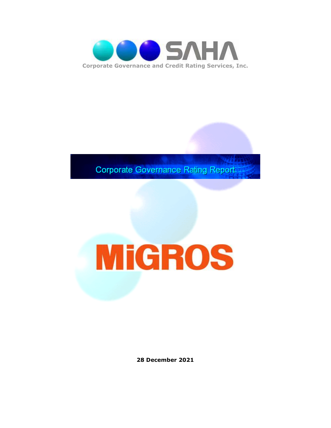

**Corporate Governance Rating Report** 

# **MiGROS**

**28 December 2021**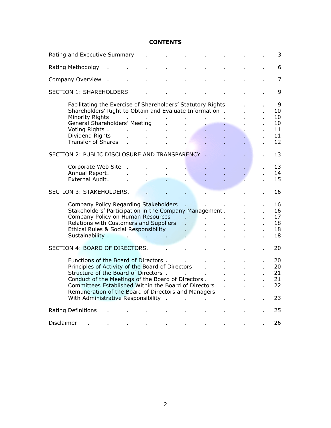#### **CONTENTS**

| Rating and Executive Summary   |                                                                                                                                                                                                                                                                                                                                               |  |    |    |  |    | 3 |  |                                       |
|--------------------------------|-----------------------------------------------------------------------------------------------------------------------------------------------------------------------------------------------------------------------------------------------------------------------------------------------------------------------------------------------|--|----|----|--|----|---|--|---------------------------------------|
|                                | Rating Methodolgy                                                                                                                                                                                                                                                                                                                             |  |    |    |  |    |   |  | 6                                     |
|                                | Company Overview                                                                                                                                                                                                                                                                                                                              |  |    |    |  |    |   |  | $\overline{7}$                        |
|                                | <b>SECTION 1: SHAREHOLDERS</b>                                                                                                                                                                                                                                                                                                                |  |    |    |  |    |   |  | 9                                     |
|                                | Facilitating the Exercise of Shareholders' Statutory Rights<br>Shareholders' Right to Obtain and Evaluate Information.<br>Minority Rights<br>General Shareholders' Meeting<br>Voting Rights.<br>Dividend Rights<br><b>Transfer of Shares</b>                                                                                                  |  |    |    |  |    |   |  | 9<br>10<br>10<br>10<br>11<br>11<br>12 |
|                                | SECTION 2: PUBLIC DISCLOSURE AND TRANSPARENCY .                                                                                                                                                                                                                                                                                               |  |    |    |  |    |   |  | 13                                    |
|                                | Corporate Web Site<br>Annual Report.<br>External Audit.                                                                                                                                                                                                                                                                                       |  |    |    |  |    |   |  | 13<br>14<br>15                        |
|                                | <b>SECTION 3: STAKEHOLDERS.</b>                                                                                                                                                                                                                                                                                                               |  |    |    |  |    |   |  | 16                                    |
|                                | Company Policy Regarding Stakeholders<br>Stakeholders' Participation in the Company Management.<br>Company Policy on Human Resources<br>Relations with Customers and Suppliers<br>Ethical Rules & Social Responsibility<br>Sustainability.                                                                                                    |  | ä, | V. |  |    |   |  | 16<br>16<br>17<br>18<br>18<br>18      |
| SECTION 4: BOARD OF DIRECTORS. |                                                                                                                                                                                                                                                                                                                                               |  |    |    |  | 20 |   |  |                                       |
|                                | Functions of the Board of Directors.<br>Principles of Activity of the Board of Directors<br>Structure of the Board of Directors.<br>Conduct of the Meetings of the Board of Directors.<br>Committees Established Within the Board of Directors<br>Remuneration of the Board of Directors and Managers<br>With Administrative Responsibility . |  |    |    |  |    |   |  | 20<br>20<br>21<br>21<br>22<br>23      |
|                                | <b>Rating Definitions</b>                                                                                                                                                                                                                                                                                                                     |  |    |    |  |    |   |  | 25                                    |
| Disclaimer                     |                                                                                                                                                                                                                                                                                                                                               |  |    |    |  |    |   |  | 26                                    |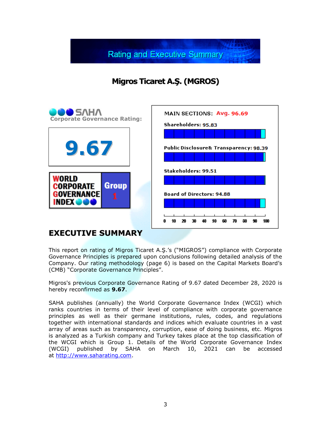**Rating and Executive Summary** 

**Migros Ticaret A.Ş. (MGROS)**



## **EXECUTIVE SUMMARY**

This report on rating of Migros Ticaret A.Ş.'s ("MIGROS") compliance with Corporate Governance Principles is prepared upon conclusions following detailed analysis of the Company. Our rating methodology (page 6) is based on the Capital Markets Board's (CMB) "Corporate Governance Principles".

Migros's previous Corporate Governance Rating of 9.67 dated December 28, 2020 is hereby reconfirmed as **9.67**.

SAHA publishes (annually) the World Corporate Governance Index (WCGI) which ranks countries in terms of their level of compliance with corporate governance principles as well as their germane institutions, rules, codes, and regulations together with international standards and indices which evaluate countries in a vast array of areas such as transparency, corruption, ease of doing business, etc. Migros is analyzed as a Turkish company and Turkey takes place at the top classification of the WCGI which is Group 1. Details of the World Corporate Governance Index<br>(WCGI) published by SAHA on March 10, 2021 can be accessed (WCGI) published by SAHA on March 10, 2021 can be accessed at [http://www.saharating.com.](http://www.saharating.com/)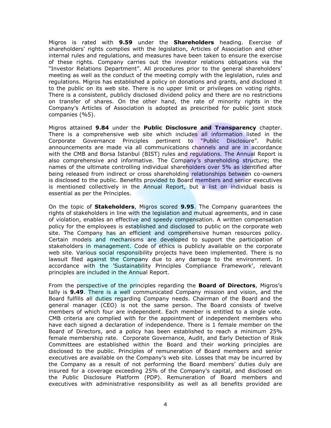Migros is rated with **9.59** under the **Shareholders** heading. Exercise of shareholders' rights complies with the legislation, Articles of Association and other internal rules and regulations, and measures have been taken to ensure the exercise of these rights. Company carries out the investor relations obligations via the "Investor Relations Department". All procedures prior to the general shareholders' meeting as well as the conduct of the meeting comply with the legislation, rules and regulations. Migros has established a policy on donations and grants, and disclosed it to the public on its web site. There is no upper limit or privileges on voting rights. There is a consistent, publicly disclosed dividend policy and there are no restrictions on transfer of shares. On the other hand, the rate of minority rights in the Company's Articles of Association is adopted as prescribed for public joint stock companies (%5).

Migros attained **9.84** under the **Public Disclosure and Transparency** chapter. There is a comprehensive web site which includes all information listed in the Corporate Governance Principles pertinent to "Public Disclosure". Public announcements are made via all communications channels and are in accordance with the CMB and Borsa Istanbul (BIST) rules and regulations. The Annual Report is also comprehensive and informative. The Company's shareholding structure; the names of the ultimate controlling individual shareholders over 5% as identified after being released from indirect or cross shareholding relationships between co-owners is disclosed to the public. Benefits provided to Board members and senior executives is mentioned collectively in the Annual Report, but a list on individual basis is essential as per the Principles.

On the topic of **Stakeholders**, Migros scored **9.95**. The Company guarantees the rights of stakeholders in line with the legislation and mutual agreements, and in case of violation, enables an effective and speedy compensation. A written compensation policy for the employees is established and disclosed to public on the corporate web site. The Company has an efficient and comprehensive human resources policy. Certain models and mechanisms are developed to support the participation of stakeholders in management. Code of ethics is publicly available on the corporate web site. Various social responsibility projects have been implemented. There is no lawsuit filed against the Company due to any damage to the environment. In accordance with the 'Sustainability Principles Compliance Framework', relevant principles are included in the Annual Report.

From the perspective of the principles regarding the **Board of Directors**, Migros's tally is **9.49**. There is a well communicated Company mission and vision, and the Board fulfills all duties regarding Company needs. Chairman of the Board and the general manager (CEO) is not the same person. The Board consists of twelve members of which four are independent. Each member is entitled to a single vote. CMB criteria are complied with for the appointment of independent members who have each signed a declaration of independence. There is 1 female member on the Board of Directors, and a policy has been established to reach a minimum 25% female membership rate. Corporate Governance, Audit, and Early Detection of Risk Committees are established within the Board and their working principles are disclosed to the public. Principles of remuneration of Board members and senior executives are available on the Company's web site. Losses that may be incurred by the Company as a result of not performing the Board members' duties duly are insured for a coverage exceeding 25% of the Company's capital, and disclosed on the Public Disclosure Platform (PDP). Remuneration of Board members and executives with administrative responsibility as well as all benefits provided are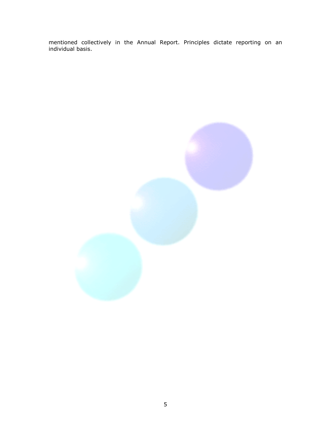mentioned collectively in the Annual Report. Principles dictate reporting on an individual basis.

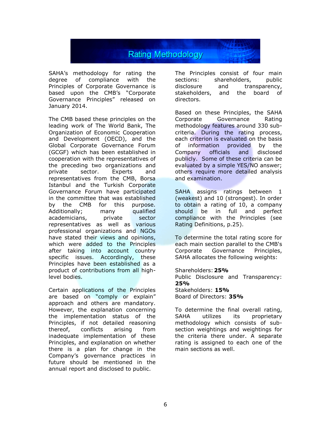

SAHA's methodology for rating the degree of compliance with the Principles of Corporate Governance is based upon the CMB's "Corporate Governance Principles" released on January 2014.

The CMB based these principles on the leading work of The World Bank, The Organization of Economic Cooperation and Development (OECD), and the Global Corporate Governance Forum (GCGF) which has been established in cooperation with the representatives of the preceding two organizations and private sector. Experts and representatives from the CMB, Borsa Istanbul and the Turkish Corporate Governance Forum have participated in the committee that was established by the CMB for this purpose. Additionally; many qualified academicians, private sector representatives as well as various professional organizations and NGOs have stated their views and opinions, which were added to the Principles after taking into account country specific issues. Accordingly, these Principles have been established as a product of contributions from all highlevel bodies.

Certain applications of the Principles are based on "comply or explain" approach and others are mandatory. However, the explanation concerning the implementation status of the Principles, if not detailed reasoning thereof, conflicts arising from inadequate implementation of these Principles, and explanation on whether there is a plan for change in the Company's governance practices in future should be mentioned in the annual report and disclosed to public.

The Principles consist of four main sections: shareholders, public disclosure and transparency, stakeholders, and the board of directors.

Based on these Principles, the SAHA Corporate Governance Rating methodology features around 330 subcriteria. During the rating process, each criterion is evaluated on the basis of information provided by the Company officials and disclosed publicly. Some of these criteria can be evaluated by a simple YES/NO answer; others require more detailed analysis and examination.

SAHA assigns ratings between 1 (weakest) and 10 (strongest). In order to obtain a rating of 10, a company should be in full and perfect compliance with the Principles (see Rating Definitions, p.25).

To determine the total rating score for each main section parallel to the CMB's Corporate Governance Principles, SAHA allocates the following weights:

Shareholders:**25%** Public Disclosure and Transparency: **25%** Stakeholders: **15%** Board of Directors: **35%**

To determine the final overall rating, SAHA utilizes its proprietary methodology which consists of subsection weightings and weightings for the criteria there under. A separate rating is assigned to each one of the main sections as well.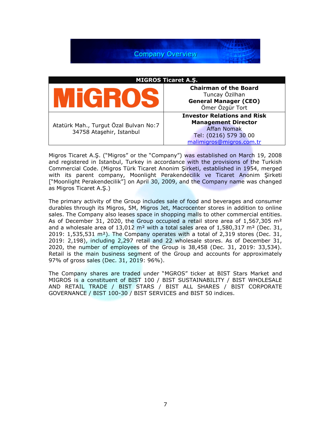**Company Overview** 

| <b>MIGROS Ticaret A.S.</b>                                         |                                                                                                                                             |  |  |  |
|--------------------------------------------------------------------|---------------------------------------------------------------------------------------------------------------------------------------------|--|--|--|
|                                                                    | <b>Chairman of the Board</b><br>Tuncay Özilhan<br><b>General Manager (CEO)</b><br>Ömer Özgür Tort                                           |  |  |  |
| Atatürk Mah., Turgut Özal Bulvarı No:7<br>34758 Ataşehir, Istanbul | <b>Investor Relations and Risk</b><br><b>Management Director</b><br><b>Affan Nomak</b><br>Tel: (0216) 579 30 00<br>malimigros@migros.com.tr |  |  |  |

Migros Ticaret A.Ş. ("Migros" or the "Company") was established on March 19, 2008 and registered in Istanbul, Turkey in accordance with the provisions of the Turkish Commercial Code. (Migros Türk Ticaret Anonim Şirketi, established in 1954, merged with its parent company, Moonlight Perakendecilik ve Ticaret Anonim Şirketi ["Moonlight Perakendecilik"] on April 30, 2009, and the Company name was changed as Migros Ticaret A.Ş.)

The primary activity of the Group includes sale of food and beverages and consumer durables through its Migros, 5M, Migros Jet, Macrocenter stores in addition to online sales. The Company also leases space in shopping malls to other commercial entities. As of December 31, 2020, the Group occupied a retail store area of  $1,567,305$  m<sup>2</sup> and a wholesale area of  $13,012$  m<sup>2</sup> with a total sales area of  $1,580,317$  m<sup>2</sup> (Dec. 31, 2019:  $1,535,531$  m<sup>2</sup>). The Company operates with a total of 2,319 stores (Dec. 31, 2019: 2,198), including 2,297 retail and 22 wholesale stores. As of December 31, 2020, the number of employees of the Group is 38,458 (Dec. 31, 2019: 33,534). Retail is the main business segment of the Group and accounts for approximately 97% of gross sales (Dec. 31, 2019: 96%).

The Company shares are traded under "MGROS" ticker at BIST Stars Market and MIGROS is a constituent of BIST 100 / BIST SUSTAINABILITY / BIST WHOLESALE AND RETAIL TRADE / BIST STARS / BIST ALL SHARES / BIST CORPORATE GOVERNANCE / BIST 100-30 / BIST SERVICES and BIST 50 indices.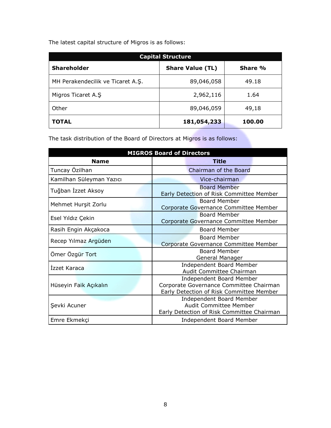The latest capital structure of Migros is as follows:

| <b>Capital Structure</b>          |                         |         |  |
|-----------------------------------|-------------------------|---------|--|
| <b>Shareholder</b>                | <b>Share Value (TL)</b> | Share % |  |
| MH Perakendecilik ve Ticaret A.Ş. | 89,046,058              | 49.18   |  |
| Migros Ticaret A.S                | 2,962,116               | 1.64    |  |
| Other                             | 89,046,059              | 49,18   |  |
| <b>TOTAL</b>                      | 181,054,233             | 100.00  |  |

The task distribution of the Board of Directors at Migros is as follows:

| <b>MIGROS Board of Directors</b> |                                                                                                                 |  |  |  |
|----------------------------------|-----------------------------------------------------------------------------------------------------------------|--|--|--|
| <b>Name</b>                      | <b>Title</b>                                                                                                    |  |  |  |
| Tuncay Özilhan                   | Chairman of the Board                                                                                           |  |  |  |
| Kamilhan Süleyman Yazıcı         | Vice-chairman                                                                                                   |  |  |  |
| Tuğban İzzet Aksoy               | <b>Board Member</b><br>Early Detection of Risk Committee Member                                                 |  |  |  |
| Mehmet Hurşit Zorlu              | <b>Board Member</b><br>Corporate Governance Committee Member                                                    |  |  |  |
| Esel Yıldız Çekin                | <b>Board Member</b><br>Corporate Governance Committee Member                                                    |  |  |  |
| Rasih Engin Akçakoca             | <b>Board Member</b>                                                                                             |  |  |  |
| Recep Yılmaz Argüden             | <b>Board Member</b><br>Corporate Governance Committee Member                                                    |  |  |  |
| Ömer Özgür Tort                  | <b>Board Member</b><br>General Manager                                                                          |  |  |  |
| Izzet Karaca                     | Independent Board Member<br>Audit Committee Chairman                                                            |  |  |  |
| Hüseyin Faik Açıkalın            | Independent Board Member<br>Corporate Governance Committee Chairman<br>Early Detection of Risk Committee Member |  |  |  |
| Şevki Acuner                     | <b>Independent Board Member</b><br><b>Audit Committee Member</b><br>Early Detection of Risk Committee Chairman  |  |  |  |
| Emre Ekmekçi                     | Independent Board Member                                                                                        |  |  |  |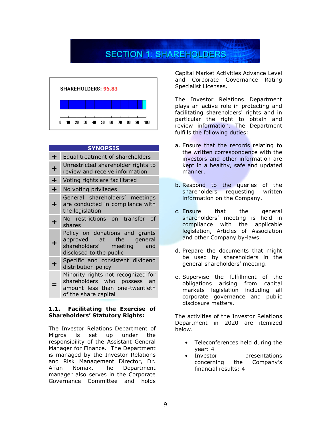# **SECTION 1: SHAREHOLDERS**



| <b>SYNOPSIS</b> |                                                                                                                             |  |  |  |
|-----------------|-----------------------------------------------------------------------------------------------------------------------------|--|--|--|
| ╋               | Equal treatment of shareholders                                                                                             |  |  |  |
| ╈               | Unrestricted shareholder rights to<br>review and receive information                                                        |  |  |  |
| $\pm$           | Voting rights are facilitated                                                                                               |  |  |  |
| $\div$          | No voting privileges                                                                                                        |  |  |  |
| +.              | General shareholders' meetings<br>are conducted in compliance with<br>the legislation                                       |  |  |  |
| ┿               | No restrictions on transfer<br>of<br>shares                                                                                 |  |  |  |
| ╇               | Policy on donations and grants<br>approved at the general<br>shareholders' meeting and<br>disclosed to the public           |  |  |  |
| Ł               | Specific and consistent dividend<br>distribution policy                                                                     |  |  |  |
|                 | Minority rights not recognized for<br>shareholders who possess an<br>amount less than one-twentieth<br>of the share capital |  |  |  |

#### **1.1. Facilitating the Exercise of Shareholders' Statutory Rights:**

The Investor Relations Department of Migros is set up under the responsibility of the Assistant General Manager for Finance. The Department is managed by the Investor Relations and Risk Management Director, Dr. Affan Nomak. The Department manager also serves in the Corporate Governance Committee and holds

Capital Market Activities Advance Level and Corporate Governance Rating Specialist Licenses.

The Investor Relations Department plays an active role in protecting and facilitating shareholders' rights and in particular the right to obtain and review information. The Department fulfills the following duties:

- a. Ensure that the records relating to the written correspondence with the investors and other information are kept in a healthy, safe and updated manner.
- b. Respond to the queries of the shareholders requesting written information on the Company.
- c. Ensure that the general shareholders' meeting is held in compliance with the applicable legislation, Articles of Association and other Company by-laws.
- d. Prepare the documents that might be used by shareholders in the general shareholders' meeting.
- e. Supervise the fulfillment of the obligations arising from capital markets legislation including all corporate governance and public disclosure matters.

The activities of the Investor Relations Department in 2020 are itemized below.

- Teleconferences held during the year: 4
- Investor presentations concerning the Company's financial results: 4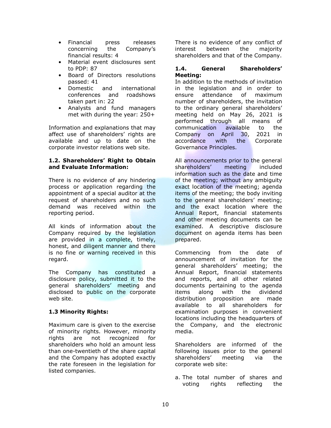- Financial press releases concerning the Company's financial results: 4
- Material event disclosures sent to PDP: 87
- Board of Directors resolutions passed: 41
- Domestic and international conferences and roadshows taken part in: 22
- Analysts and fund managers met with during the year: 250+

Information and explanations that may affect use of shareholders' rights are available and up to date on the corporate investor relations web site.

#### **1.2. Shareholders' Right to Obtain and Evaluate Information:**

There is no evidence of any hindering process or application regarding the appointment of a special auditor at the request of shareholders and no such demand was received within the reporting period.

All kinds of information about the Company required by the legislation are provided in a complete, timely, honest, and diligent manner and there is no fine or warning received in this regard.

The Company has constituted a disclosure policy, submitted it to the general shareholders' meeting and disclosed to public on the corporate web site.

#### **1.3 Minority Rights:**

Maximum care is given to the exercise of minority rights. However, minority rights are not recognized for shareholders who hold an amount less than one-twentieth of the share capital and the Company has adopted exactly the rate foreseen in the legislation for listed companies.

There is no evidence of any conflict of interest between the majority shareholders and that of the Company.

#### **1.4. General Shareholders' Meeting:**

In addition to the methods of invitation in the legislation and in order to ensure attendance of maximum number of shareholders, the invitation to the ordinary general shareholders' meeting held on May 26, 2021 is performed through all means of communication available to the Company on April 30, 2021 in accordance with the Corporate Governance Principles.

All announcements prior to the general shareholders' meeting included information such as the date and time of the meeting; without any ambiguity exact location of the meeting; agenda items of the meeting; the body inviting to the general shareholders' meeting; and the exact location where the Annual Report, financial statements and other meeting documents can be examined. A descriptive disclosure document on agenda items has been prepared.

Commencing from the date of announcement of invitation for the general shareholders' meeting; the Annual Report, financial statements and reports, and all other related documents pertaining to the agenda items along with the dividend distribution proposition are made available to all shareholders for examination purposes in convenient locations including the headquarters of the Company, and the electronic media.

Shareholders are informed of the following issues prior to the general shareholders' meeting via the corporate web site:

a. The total number of shares and voting rights reflecting the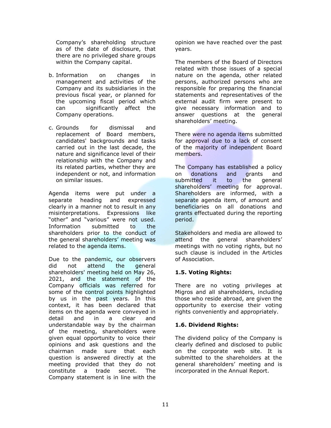Company's shareholding structure as of the date of disclosure, that there are no privileged share groups within the Company capital.

- b. Information on changes in management and activities of the Company and its subsidiaries in the previous fiscal year, or planned for the upcoming fiscal period which can significantly affect the Company operations.
- c. Grounds for dismissal and replacement of Board members, candidates' backgrounds and tasks carried out in the last decade, the nature and significance level of their relationship with the Company and its related parties, whether they are independent or not, and information on similar issues.

Agenda items were put under a separate heading and expressed clearly in a manner not to result in any misinterpretations. Expressions like "other" and "various" were not used. Information submitted to the shareholders prior to the conduct of the general shareholders' meeting was related to the agenda items.

Due to the pandemic, our observers did not attend the general shareholders' meeting held on May 26, 2021, and the statement of the Company officials was referred for some of the control points highlighted by us in the past years. In this context, it has been declared that items on the agenda were conveyed in detail and in a clear and understandable way by the chairman of the meeting, shareholders were given equal opportunity to voice their opinions and ask questions and the chairman made sure that each question is answered directly at the meeting provided that they do not constitute a trade secret. The Company statement is in line with the

opinion we have reached over the past years.

The members of the Board of Directors related with those issues of a special nature on the agenda, other related persons, authorized persons who are responsible for preparing the financial statements and representatives of the external audit firm were present to give necessary information and to answer questions at the general shareholders' meeting.

There were no agenda items submitted for approval due to a lack of consent of the majority of independent Board members.

The Company has established a policy on donations and grants and submitted it to the general shareholders' meeting for approval. Shareholders are informed, with a separate agenda item, of amount and beneficiaries on all donations and grants effectuated during the reporting period.

Stakeholders and media are allowed to attend the general shareholders' meetings with no voting rights, but no such clause is included in the Articles of Association.

#### **1.5. Voting Rights:**

There are no voting privileges at Migros and all shareholders, including those who reside abroad, are given the opportunity to exercise their voting rights conveniently and appropriately.

#### **1.6. Dividend Rights:**

The dividend policy of the Company is clearly defined and disclosed to public on the corporate web site. It is submitted to the shareholders at the general shareholders' meeting and is incorporated in the Annual Report.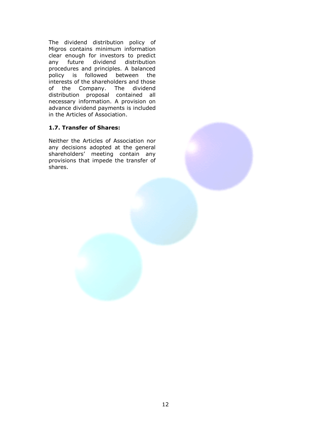The dividend distribution policy of Migros contains minimum information clear enough for investors to predict any future dividend distribution procedures and principles. A balanced policy is followed between the interests of the shareholders and those of the Company. The dividend distribution proposal contained all necessary information. A provision on advance dividend payments is included in the Articles of Association.

#### **1.7. Transfer of Shares:**

Neither the Articles of Association nor any decisions adopted at the general shareholders' meeting contain any provisions that impede the transfer of shares.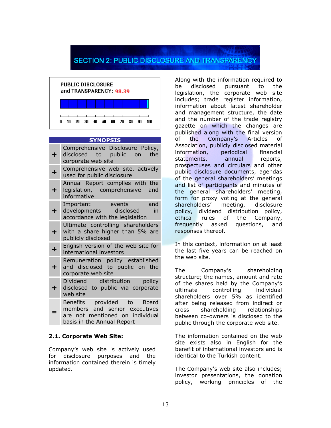## **SECTION 2: PUBLIC DISCLOSURE AND TRANSPARENCY**



| <b>SYNOPSIS</b> |                                                                                                                                                                |  |  |  |  |
|-----------------|----------------------------------------------------------------------------------------------------------------------------------------------------------------|--|--|--|--|
| ╋               | Comprehensive Disclosure Policy,<br>disclosed to public on<br>the<br>corporate web site                                                                        |  |  |  |  |
| ╋               | Comprehensive web site, actively<br>used for public disclosure                                                                                                 |  |  |  |  |
| $\ddot{}$       | Annual Report complies with the<br>legislation, comprehensive and<br>informative                                                                               |  |  |  |  |
| ╋               | Important<br>and<br><b>Exercise Server Server Server Server Server Server Server Server</b><br>developments disclosed<br>in<br>accordance with the legislation |  |  |  |  |
| ٠               | Ultimate controlling shareholders<br>with a share higher than 5% are<br>publicly disclosed                                                                     |  |  |  |  |
| $\ddot{}$       | English version of the web site for<br>international investors                                                                                                 |  |  |  |  |
| $\div$          | Remuneration policy established<br>and disclosed to public on the<br>corporate web site                                                                        |  |  |  |  |
| ┿               | Dividend distribution policy<br>disclosed to public via corporate<br>web site                                                                                  |  |  |  |  |
|                 | Benefits provided to Board<br>members and senior executives<br>are not mentioned on individual<br>basis in the Annual Report                                   |  |  |  |  |

#### **2.1. Corporate Web Site:**

Company's web site is actively used for disclosure purposes and the information contained therein is timely updated.

Along with the information required to be disclosed pursuant to the legislation, the corporate web site includes; trade register information, information about latest shareholder and management structure, the date and the number of the trade registry gazette on which the changes are published along with the final version of the Company's Articles of Association, publicly disclosed material information, periodical financial statements, annual reports, prospectuses and circulars and other public disclosure documents, agendas of the general shareholders' meetings and list of participants and minutes of the general shareholders' meeting, form for proxy voting at the general shareholders' meeting, disclosure policy, dividend distribution policy, ethical rules of the Company, frequently asked questions, and responses thereof.

In this context, information on at least the last five years can be reached on the web site.

The Company's shareholding structure; the names, amount and rate of the shares held by the Company's ultimate controlling individual shareholders over 5% as identified after being released from indirect or cross shareholding relationships between co-owners is disclosed to the public through the corporate web site.

The information contained on the web site exists also in English for the benefit of international investors and is identical to the Turkish content.

The Company's web site also includes; investor presentations, the donation policy, working principles of the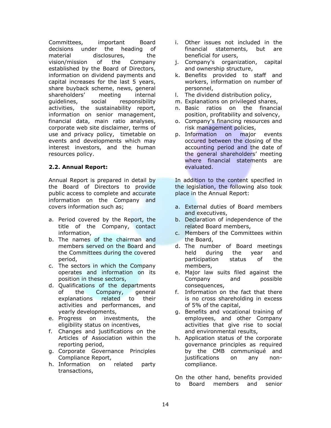Committees, important Board decisions under the heading of material disclosures, the vision/mission of the Company established by the Board of Directors, information on dividend payments and capital increases for the last 5 years, share buyback scheme, news, general shareholders' meeting internal guidelines, social responsibility activities, the sustainability report, information on senior management, financial data, main ratio analyses, corporate web site disclaimer, terms of use and privacy policy, timetable on events and developments which may interest investors, and the human resources policy.

#### **2.2. Annual Report:**

Annual Report is prepared in detail by the Board of Directors to provide public access to complete and accurate information on the Company and covers information such as;

- a. Period covered by the Report, the title of the Company, contact information,
- b. The names of the chairman and members served on the Board and the Committees during the covered period,
- c. The sectors in which the Company operates and information on its position in these sectors,
- d. Qualifications of the departments of the Company, general explanations related to their activities and performances, and yearly developments,
- e. Progress on investments, the eligibility status on incentives,
- f. Changes and justifications on the Articles of Association within the reporting period,
- g. Corporate Governance Principles Compliance Report,
- h. Information on related party transactions,
- i. Other issues not included in the financial statements, but are beneficial for users,
- j. Company's organization, capital and ownership structure,
- k. Benefits provided to staff and workers, information on number of personnel,
- l. The dividend distribution policy,
- m. Explanations on privileged shares,
- n. Basic ratios on the financial position, profitability and solvency,
- o. Company's financing resources and risk management policies,
- p. Information on major events occured between the closing of the accounting period and the date of the general shareholders' meeting where financial statements are evaluated.

In addition to the content specified in the legislation, the following also took place in the Annual Report:

- a. External duties of Board members and executives,
- b. Declaration of independence of the related Board members,
- c. Members of the Committees within the Board,
- d. The number of Board meetings held during the year and participation status of the members,
- e. Major law suits filed against the Company and possible consequences,
- f. Information on the fact that there is no cross shareholding in excess of 5% of the capital,
- g. Benefits and vocational training of employees, and other Company activities that give rise to social and environmental results,
- h. Application status of the corporate governance principles as required by the CMB communiqué and justifications on any noncompliance.

On the other hand, benefits provided to Board members and senior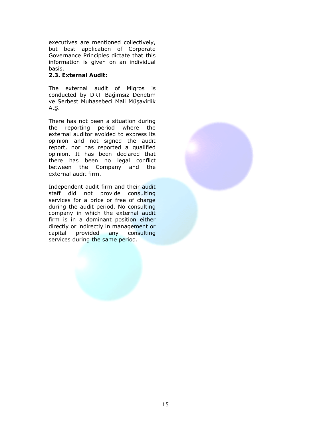executives are mentioned collectively, but best application of Corporate Governance Principles dictate that this information is given on an individual basis.

#### **2.3. External Audit:**

The external audit of Migros is conducted by DRT Bağımsız Denetim ve Serbest Muhasebeci Mali Müşavirlik A.Ş.

There has not been a situation during the reporting period where the external auditor avoided to express its opinion and not signed the audit report, nor has reported a qualified opinion. It has been declared that there has been no legal conflict between the Company and the external audit firm.

Independent audit firm and their audit staff did not provide consulting services for a price or free of charge during the audit period. No consulting company in which the external audit firm is in a dominant position either directly or indirectly in management or capital provided any consulting services during the same period.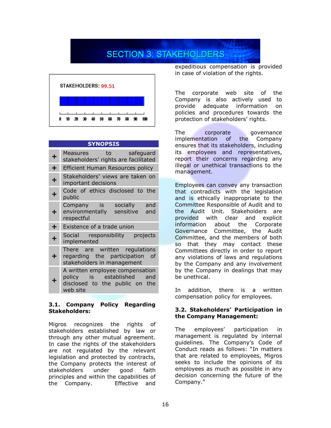## **SECTION 3: STAKEHOLDERS**



### **SYNOPSIS**

| ٠         | Measures to safeguard<br>stakeholders' rights are facilitated                                              |
|-----------|------------------------------------------------------------------------------------------------------------|
| $\div$    | <b>Efficient Human Resources policy</b>                                                                    |
| $\ddot{}$ | Stakeholders' views are taken on<br>important decisions                                                    |
| ÷         | Code of ethics disclosed to the<br>public                                                                  |
| ٠         | Company is socially and<br>environmentally sensitive and<br>respectful                                     |
| ╋         | Existence of a trade union                                                                                 |
| ┿         | Social responsibility projects<br>implemented                                                              |
| ┿         | There are written regulations<br>regarding the participation<br>οf<br>stakeholders in management           |
|           | A written employee compensation<br>policy is established and<br>disclosed to the public on the<br>web site |

#### **3.1. Company Policy Regarding Stakeholders:**

Migros recognizes the rights of stakeholders established by law or through any other mutual agreement. In case the rights of the stakeholders are not regulated by the relevant legislation and protected by contracts, the Company protects the interest of stakeholders under good faith principles and within the capabilities of the Company. Effective and

expeditious compensation is provided in case of violation of the rights.

The corporate web site of the Company is also actively used to provide adequate information on policies and procedures towards the protection of stakeholders' rights.

The corporate governance implementation of the Company ensures that its stakeholders, including its employees and representatives, report their concerns regarding any illegal or unethical transactions to the management.

Employees can convey any transaction that contradicts with the legislation and is ethically inappropriate to the Committee Responsible of Audit and to the Audit Unit. Stakeholders are provided with clear and explicit information about the Corporate Governance Committee, the Audit Committee, and the members of both so that they may contact these Committees directly in order to report any violations of laws and regulations by the Company and any involvement by the Company in dealings that may be unethical.

In addition, there is a written compensation policy for employees.

#### **3.2. Stakeholders' Participation in the Company Management:**

The employees' participation in management is regulated by internal guidelines. The Company's Code of Conduct reads as follows: "In matters that are related to employees, Migros seeks to include the opinions of its employees as much as possible in any decision concerning the future of the Company."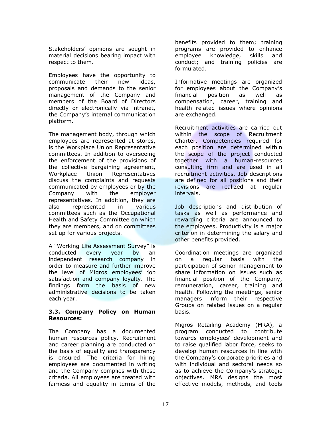Stakeholders' opinions are sought in material decisions bearing impact with respect to them.

Employees have the opportunity to communicate their new ideas, proposals and demands to the senior management of the Company and members of the Board of Directors directly or electronically via intranet, the Company's internal communication platform.

The management body, through which employees are represented at stores, is the Workplace Union Representative committees. In addition to overseeing the enforcement of the provisions of the collective bargaining agreement, Workplace Union Representatives discuss the complaints and requests communicated by employees or by the Company with the employer representatives. In addition, they are also represented in various committees such as the Occupational Health and Safety Committee on which they are members, and on committees set up for various projects.

A "Working Life Assessment Survey" is conducted every year by an independent research company in order to measure and further improve the level of Migros employees' job satisfaction and company loyalty. The findings form the basis of new administrative decisions to be taken each year.

#### **3.3. Company Policy on Human Resources:**

The Company has a documented human resources policy. Recruitment and career planning are conducted on the basis of equality and transparency is ensured. The criteria for hiring employees are documented in writing and the Company complies with these criteria. All employees are treated with fairness and equality in terms of the

benefits provided to them; training programs are provided to enhance employee knowledge, skills and conduct; and training policies are formulated.

Informative meetings are organized for employees about the Company's financial position as well as compensation, career, training and health related issues where opinions are exchanged.

Recruitment activities are carried out within the scope of Recruitment Charter. Competencies required for each position are determined within the scope of the project conducted together with a human-resources consulting firm and are used in all recruitment activities. Job descriptions are defined for all positions and their revisions are realized at regular intervals.

Job descriptions and distribution of tasks as well as performance and rewarding criteria are announced to the employees. Productivity is a major criterion in determining the salary and other benefits provided.

Coordination meetings are organized on a regular basis with the participation of senior management to share information on issues such as financial position of the Company, remuneration, career, training and health. Following the meetings, senior managers inform their respective Groups on related issues on a regular basis.

Migros Retailing Academy (MRA), a program conducted to contribute towards employees' development and to raise qualified labor force, seeks to develop human resources in line with the Company's corporate priorities and with individual and sectoral needs so as to achieve the Company's strategic objectives. MRA designs the most effective models, methods, and tools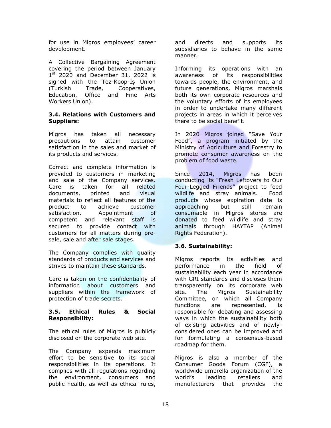for use in Migros employees' career development.

A Collective Bargaining Agreement covering the period between January  $1<sup>st</sup>$  2020 and December 31, 2022 is signed with the Tez-Koop-İş Union (Turkish Trade, Cooperatives, Education, Office and Fine Arts Workers Union).

#### **3.4. Relations with Customers and Suppliers:**

Migros has taken all necessary precautions to attain customer satisfaction in the sales and market of its products and services.

Correct and complete information is provided to customers in marketing and sale of the Company services. Care is taken for all related documents, printed and visual materials to reflect all features of the product to achieve customer satisfaction. Appointment of competent and relevant staff is secured to provide contact with customers for all matters during presale, sale and after sale stages.

The Company complies with quality standards of products and services and strives to maintain these standards.

Care is taken on the confidentiality of information about customers and suppliers within the framework of protection of trade secrets.

#### **3.5. Ethical Rules & Social Responsibility:**

The ethical rules of Migros is publicly disclosed on the corporate web site.

The Company expends maximum effort to be sensitive to its social responsibilities in its operations. It complies with all regulations regarding the environment, consumers and public health, as well as ethical rules,

and directs and supports its subsidiaries to behave in the same manner.

Informing its operations with an awareness of its responsibilities towards people, the environment, and future generations, Migros marshals both its own corporate resources and the voluntary efforts of its employees in order to undertake many different projects in areas in which it perceives there to be social benefit.

In 2020 Migros joined "Save Your Food", a program initiated by the Ministry of Agriculture and Forestry to promote consumer awareness on the problem of food waste.

Since 2014, Migros has been conducting its "Fresh Leftovers to Our Four-Legged Friends" project to feed wildlife and stray animals. Food products whose expiration date is approaching but still remain consumable in Migros stores are donated to feed wildlife and stray animals through HAYTAP (Animal Rights Federation).

#### **3.6. Sustainability:**

Migros reports its activities and performance in the field of sustainability each year in accordance with GRI standards and discloses them transparently on its corporate web site. The Migros Sustainability Committee, on which all Company functions are represented, is responsible for debating and assessing ways in which the sustainability both of existing activities and of newlyconsidered ones can be improved and for formulating a consensus-based roadmap for them.

Migros is also a member of the Consumer Goods Forum (CGF), a worldwide umbrella organization of the world's leading retailers and manufacturers that provides the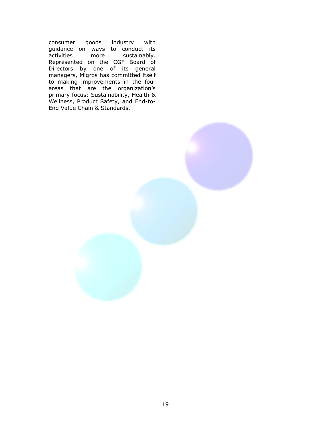consumer goods industry with guidance on ways to conduct its activities more sustainably. Represented on the CGF Board of Directors by one of its general managers, Migros has committed itself to making improvements in the four areas that are the organization's primary focus: Sustainability, Health & Wellness, Product Safety, and End-to-End Value Chain & Standards.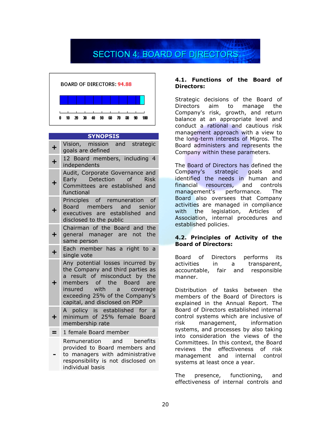# **SECTION 4: BOARD OF DIRECTORS**



#### **SYNOPSIS**

|            | Vision, mission and strategic<br>goals are defined                                                                                                                                                                              |
|------------|---------------------------------------------------------------------------------------------------------------------------------------------------------------------------------------------------------------------------------|
| $\ddagger$ | 12 Board members, including 4<br>independents                                                                                                                                                                                   |
| ┿          | Audit, Corporate Governance and<br>Early Detection of Risk<br>Committees are established and<br>functional                                                                                                                      |
|            | Principles of remuneration of<br>Board members and senior<br>executives are established and<br>disclosed to the public                                                                                                          |
| ╋          | Chairman of the Board and the<br>general manager are not the<br>same person                                                                                                                                                     |
| $\ddot{}$  | Each member has a right to a<br>single vote                                                                                                                                                                                     |
| ٠          | Any potential losses incurred by<br>the Company and third parties as<br>a result of misconduct by the<br>members of the Board are<br>insured with a coverage<br>exceeding 25% of the Company's<br>capital, and disclosed on PDP |
| ┿          | A policy is established for a<br>minimum of 25% female Board<br>membership rate                                                                                                                                                 |
| =          | 1 female Board member                                                                                                                                                                                                           |
|            | Remuneration and benefits                                                                                                                                                                                                       |

 provided to Board members and to managers with administrative responsibility is not disclosed on individual basis

#### **4.1. Functions of the Board of Directors:**

Strategic decisions of the Board of Directors aim to manage the Company's risk, growth, and return balance at an appropriate level and conduct a rational and cautious risk management approach with a view to the long-term interests of Migros. The Board administers and represents the Company within these parameters.

The Board of Directors has defined the Company's strategic goals and identified the needs in human and financial resources, and controls management's performance. The Board also oversees that Company activities are managed in compliance with the legislation, Articles of Association, internal procedures and established policies.

#### **4.2. Principles of Activity of the Board of Directors:**

Board of Directors performs its activities in a transparent, accountable, fair and responsible manner.

Distribution of tasks between the members of the Board of Directors is explained in the Annual Report. The Board of Directors established internal control systems which are inclusive of risk management, information systems, and processes by also taking into consideration the views of the Committees. In this context, the Board reviews the effectiveness of risk management and internal control systems at least once a year.

The presence, functioning, and effectiveness of internal controls and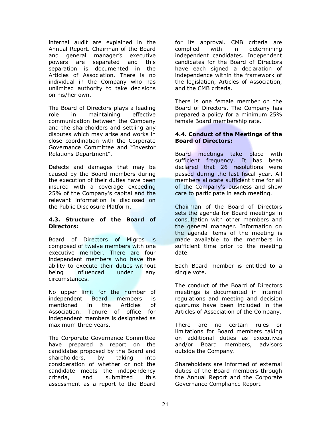internal audit are explained in the Annual Report. Chairman of the Board and general manager's executive powers are separated and this separation is documented in the Articles of Association. There is no individual in the Company who has unlimited authority to take decisions on his/her own.

The Board of Directors plays a leading role in maintaining effective communication between the Company and the shareholders and settling any disputes which may arise and works in close coordination with the Corporate Governance Committee and "Investor Relations Department".

Defects and damages that may be caused by the Board members during the execution of their duties have been insured with a coverage exceeding 25% of the Company's capital and the relevant information is disclosed on the Public Disclosure Platform.

#### **4.3. Structure of the Board of Directors:**

Board of Directors of Migros is composed of twelve members with one executive member. There are four independent members who have the ability to execute their duties without being influenced under any circumstances.

No upper limit for the number of independent Board members is mentioned in the Articles of Association. Tenure of office for independent members is designated as maximum three years.

The Corporate Governance Committee have prepared a report on the candidates proposed by the Board and shareholders, by taking into consideration of whether or not the candidate meets the independency criteria, and submitted this assessment as a report to the Board for its approval. CMB criteria are complied with in determining independent candidates. Independent candidates for the Board of Directors have each signed a declaration of independence within the framework of the legislation, Articles of Association, and the CMB criteria.

There is one female member on the Board of Directors. The Company has prepared a policy for a minimum 25% female Board membership rate.

#### **4.4. Conduct of the Meetings of the Board of Directors:**

Board meetings take place with sufficient frequency. It has been declared that 26 resolutions were passed during the last fiscal year. All members allocate sufficient time for all of the Company's business and show care to participate in each meeting.

Chairman of the Board of Directors sets the agenda for Board meetings in consultation with other members and the general manager. Information on the agenda items of the meeting is made available to the members in sufficient time prior to the meeting date.

Each Board member is entitled to a single vote.

The conduct of the Board of Directors meetings is documented in internal regulations and meeting and decision quorums have been included in the Articles of Association of the Company.

There are no certain rules or limitations for Board members taking on additional duties as executives and/or Board members, advisors outside the Company.

Shareholders are informed of external duties of the Board members through the Annual Report and the Corporate Governance Compliance Report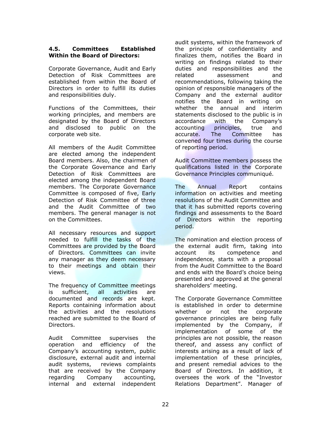#### **4.5. Committees Established Within the Board of Directors:**

Corporate Governance, Audit and Early Detection of Risk Committees are established from within the Board of Directors in order to fulfill its duties and responsibilities duly.

Functions of the Committees, their working principles, and members are designated by the Board of Directors and disclosed to public on the corporate web site.

All members of the Audit Committee are elected among the independent Board members. Also, the chairmen of the Corporate Governance and Early Detection of Risk Committees are elected among the independent Board members. The Corporate Governance Committee is composed of five, Early Detection of Risk Committee of three and the Audit Committee of two members. The general manager is not on the Committees.

All necessary resources and support needed to fulfill the tasks of the Committees are provided by the Board of Directors. Committees can invite any manager as they deem necessary to their meetings and obtain their views.

The frequency of Committee meetings is sufficient, all activities are documented and records are kept. Reports containing information about the activities and the resolutions reached are submitted to the Board of Directors.

Audit Committee supervises the operation and efficiency of the Company's accounting system, public disclosure, external audit and internal audit systems, reviews complaints that are received by the Company regarding Company accounting, internal and external independent

audit systems, within the framework of the principle of confidentiality and finalizes them, notifies the Board in writing on findings related to their duties and responsibilities and the related assessment and recommendations, following taking the opinion of responsible managers of the Company and the external auditor notifies the Board in writing on whether the annual and interim statements disclosed to the public is in accordance with the Company's accounting principles, true and accurate. The Committee has convened four times during the course of reporting period.

Audit Committee members possess the qualifications listed in the Corporate Governance Principles communiqué.

The Annual Report contains information on activities and meeting resolutions of the Audit Committee and that it has submitted reports covering findings and assessments to the Board of Directors within the reporting period.

The nomination and election process of the external audit firm, taking into account its competence and independence, starts with a proposal from the Audit Committee to the Board and ends with the Board's choice being presented and approved at the general shareholders' meeting.

The Corporate Governance Committee is established in order to determine whether or not the corporate governance principles are being fully implemented by the Company, if implementation of some of the principles are not possible, the reason thereof, and assess any conflict of interests arising as a result of lack of implementation of these principles, and present remedial advices to the Board of Directors. In addition, it oversees the work of the "Investor Relations Department". Manager of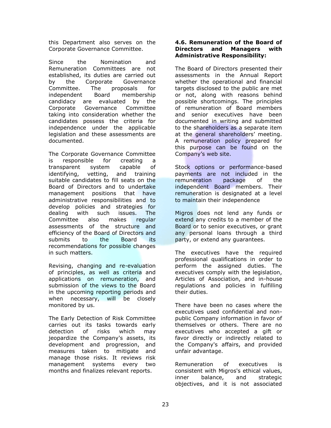this Department also serves on the Corporate Governance Committee.

Since the Nomination and Remuneration Committees are not established, its duties are carried out by the Corporate Governance Committee. The proposals for independent Board membership candidacy are evaluated by the Corporate Governance Committee taking into consideration whether the candidates possess the criteria for independence under the applicable legislation and these assessments are documented.

The Corporate Governance Committee is responsible for creating a transparent system capable of identifying, vetting, and training suitable candidates to fill seats on the Board of Directors and to undertake management positions that have administrative responsibilities and to develop policies and strategies for dealing with such issues. The Committee also makes regular assessments of the structure and efficiency of the Board of Directors and submits to the Board its recommendations for possible changes in such matters.

Revising, changing and re-evaluation of principles, as well as criteria and applications on remuneration, and submission of the views to the Board in the upcoming reporting periods and when necessary, will be closely monitored by us.

The Early Detection of Risk Committee carries out its tasks towards early detection of risks which may jeopardize the Company's assets, its development and progression, and measures taken to mitigate and manage those risks. It reviews risk management systems every two months and finalizes relevant reports.

#### **4.6. Remuneration of the Board of Directors and Managers with Administrative Responsibility:**

The Board of Directors presented their assessments in the Annual Report whether the operational and financial targets disclosed to the public are met or not, along with reasons behind possible shortcomings. The principles of remuneration of Board members and senior executives have been documented in writing and submitted to the shareholders as a separate item at the general shareholders' meeting. A remuneration policy prepared for this purpose can be found on the Company's web site.

Stock options or performance-based payments are not included in the remuneration package of the independent Board members. Their remuneration is designated at a level to maintain their independence

Migros does not lend any funds or extend any credits to a member of the Board or to senior executives, or grant any personal loans through a third party, or extend any guarantees.

The executives have the required professional qualifications in order to perform the assigned duties. The executives comply with the legislation, Articles of Association, and in-house regulations and policies in fulfilling their duties.

There have been no cases where the executives used confidential and nonpublic Company information in favor of themselves or others. There are no executives who accepted a gift or favor directly or indirectly related to the Company's affairs, and provided unfair advantage.

Remuneration of executives is consistent with Migros's ethical values, inner balance, and strategic objectives, and it is not associated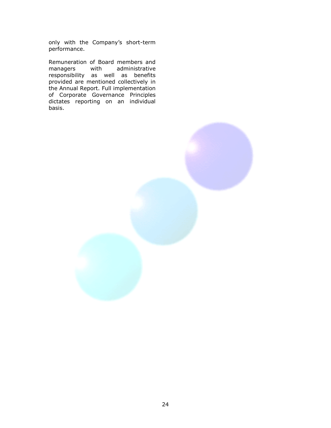only with the Company's short-term performance.

Remuneration of Board members and<br>managers with administrative managers with administrative responsibility as well as benefits provided are mentioned collectively in the Annual Report. Full implementation of Corporate Governance Principles dictates reporting on an individual basis.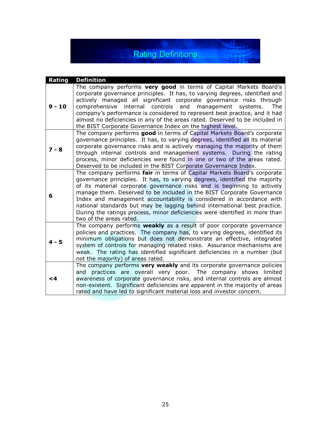## **Rating Definitions**

624491

| Rating   | <b>Definition</b>                                                                                                                                                                                                                                                                                                                                                                                                                                                                                                                                                        |
|----------|--------------------------------------------------------------------------------------------------------------------------------------------------------------------------------------------------------------------------------------------------------------------------------------------------------------------------------------------------------------------------------------------------------------------------------------------------------------------------------------------------------------------------------------------------------------------------|
| $9 - 10$ | The company performs very good in terms of Capital Markets Board's<br>corporate governance principles. It has, to varying degrees, identified and<br>actively managed all significant corporate governance risks through<br>internal controls<br>and<br>comprehensive<br>management<br>systems.<br><b>The</b><br>company's performance is considered to represent best practice, and it had<br>almost no deficiencies in any of the areas rated. Deserved to be included in<br>the BIST Corporate Governance Index on the highest level.                                 |
| $7 - 8$  | The company performs good in terms of Capital Markets Board's corporate<br>governance principles. It has, to varying degrees, identified all its material<br>corporate governance risks and is actively managing the majority of them<br>through internal controls and management systems. During the rating<br>process, minor deficiencies were found in one or two of the areas rated.<br>Deserved to be included in the BIST Corporate Governance Index.                                                                                                              |
| 6        | The company performs fair in terms of Capital Markets Board's corporate<br>governance principles. It has, to varying degrees, identified the majority<br>of its material corporate governance risks and is beginning to actively<br>manage them. Deserved to be included in the BIST Corporate Governance<br>Index and management accountability is considered in accordance with<br>national standards but may be lagging behind international best practice.<br>During the ratings process, minor deficiencies were identified in more than<br>two of the areas rated. |
| $4 - 5$  | The company performs weakly as a result of poor corporate governance<br>policies and practices. The company has, to varying degrees, identified its<br>minimum obligations but does not demonstrate an effective, integrated<br>system of controls for managing related risks. Assurance mechanisms are<br>weak. The rating has identified significant deficiencies in a number (but<br>not the majority) of areas rated.                                                                                                                                                |
| <4       | The company performs very weakly and its corporate governance policies<br>and practices are overall very poor. The company shows limited<br>awareness of corporate governance risks, and internal controls are almost<br>non-existent. Significant deficiencies are apparent in the majority of areas<br>rated and have led to significant material loss and investor concern.                                                                                                                                                                                           |